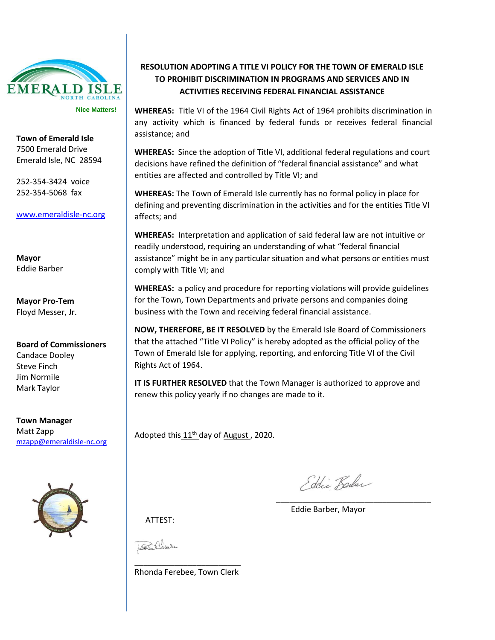

**Town of Emerald Isle** 7500 Emerald Drive Emerald Isle, NC 28594

252-354-3424 voice 252-354-5068 fax

[www.emeraldisle-nc.org](http://www.emeraldisle-nc.org/)

**Mayor** Eddie Barber

**Mayor Pro-Tem** Floyd Messer, Jr.

**Board of Commissioners** Candace Dooley Steve Finch Jim Normile Mark Taylor

**Town Manager** Matt Zapp [mzapp@emeraldisle-nc.org](mailto:mzapp@emeraldisle-nc.org)



## **RESOLUTION ADOPTING A TITLE VI POLICY FOR THE TOWN OF EMERALD ISLE TO PROHIBIT DISCRIMINATION IN PROGRAMS AND SERVICES AND IN ACTIVITIES RECEIVING FEDERAL FINANCIAL ASSISTANCE**

**WHEREAS:** Title VI of the 1964 Civil Rights Act of 1964 prohibits discrimination in any activity which is financed by federal funds or receives federal financial assistance; and

**WHEREAS:** Since the adoption of Title VI, additional federal regulations and court decisions have refined the definition of "federal financial assistance" and what entities are affected and controlled by Title VI; and

**WHEREAS:** The Town of Emerald Isle currently has no formal policy in place for defining and preventing discrimination in the activities and for the entities Title VI affects; and

**WHEREAS:** Interpretation and application of said federal law are not intuitive or readily understood, requiring an understanding of what "federal financial assistance" might be in any particular situation and what persons or entities must comply with Title VI; and

**WHEREAS:** a policy and procedure for reporting violations will provide guidelines for the Town, Town Departments and private persons and companies doing business with the Town and receiving federal financial assistance.

**NOW, THEREFORE, BE IT RESOLVED** by the Emerald Isle Board of Commissioners that the attached "Title VI Policy" is hereby adopted as the official policy of the Town of Emerald Isle for applying, reporting, and enforcing Title VI of the Civil Rights Act of 1964.

**IT IS FURTHER RESOLVED** that the Town Manager is authorized to approve and renew this policy yearly if no changes are made to it.

Adopted this  $11^{th}$  day of August, 2020.

Edic Barber

\_\_\_\_\_\_\_\_\_\_\_\_\_\_\_\_\_\_\_\_\_\_\_\_\_\_\_\_\_\_\_\_\_\_\_

Eddie Barber, Mayor

ATTEST:

\_\_\_\_\_\_\_\_\_\_\_\_\_\_\_\_\_\_\_\_\_\_\_\_ Rhonda Ferebee, Town Clerk